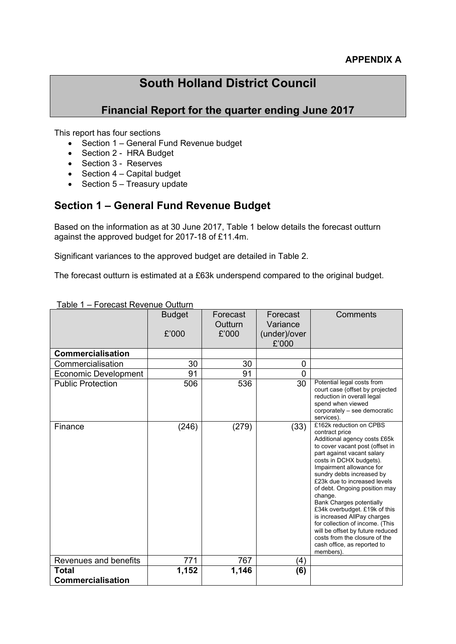# **South Holland District Council**

## **Financial Report for the quarter ending June 2017**

This report has four sections

- Section 1 General Fund Revenue budget
- Section 2 HRA Budget
- Section 3 Reserves
- $\bullet$  Section 4 Capital budget
- $\bullet$  Section 5 Treasury update

## **Section 1 – General Fund Revenue Budget**

Based on the information as at 30 June 2017, Table 1 below details the forecast outturn against the approved budget for 2017-18 of £11.4m.

Significant variances to the approved budget are detailed in Table 2.

The forecast outturn is estimated at a £63k underspend compared to the original budget.

| <b>Commercialisation</b>                 | <b>Budget</b><br>£'000 | Forecast<br>Outturn<br>£'000 | Forecast<br>Variance<br>(under)/over<br>£'000 | Comments                                                                                                                                                                                                                                                                                                                                                                                                                                                                                                                                                          |
|------------------------------------------|------------------------|------------------------------|-----------------------------------------------|-------------------------------------------------------------------------------------------------------------------------------------------------------------------------------------------------------------------------------------------------------------------------------------------------------------------------------------------------------------------------------------------------------------------------------------------------------------------------------------------------------------------------------------------------------------------|
| Commercialisation                        | 30                     | 30                           | 0                                             |                                                                                                                                                                                                                                                                                                                                                                                                                                                                                                                                                                   |
| Economic Development                     | 91                     | 91                           | 0                                             |                                                                                                                                                                                                                                                                                                                                                                                                                                                                                                                                                                   |
| <b>Public Protection</b>                 | 506                    | 536                          | 30                                            | Potential legal costs from<br>court case (offset by projected<br>reduction in overall legal<br>spend when viewed<br>corporately - see democratic<br>services).                                                                                                                                                                                                                                                                                                                                                                                                    |
| Finance                                  | (246)                  | (279)                        | (33)                                          | £162k reduction on CPBS<br>contract price<br>Additional agency costs £65k<br>to cover vacant post (offset in<br>part against vacant salary<br>costs in DCHX budgets).<br>Impairment allowance for<br>sundry debts increased by<br>£23k due to increased levels<br>of debt. Ongoing position may<br>change.<br><b>Bank Charges potentially</b><br>£34k overbudget. £19k of this<br>is increased AllPay charges<br>for collection of income. (This<br>will be offset by future reduced<br>costs from the closure of the<br>cash office, as reported to<br>members). |
| Revenues and benefits                    | 771                    | 767                          | (4)                                           |                                                                                                                                                                                                                                                                                                                                                                                                                                                                                                                                                                   |
| <b>Total</b><br><b>Commercialisation</b> | 1,152                  | 1,146                        | (6)                                           |                                                                                                                                                                                                                                                                                                                                                                                                                                                                                                                                                                   |

#### Table 1 – Forecast Revenue Outturn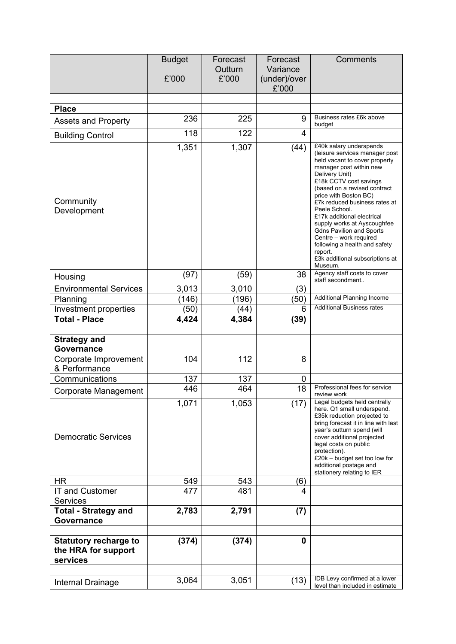|                                                                 | <b>Budget</b> | Forecast         | Forecast              | Comments                                                                                                                                                                                                                                                                                                                                                                                                                                                                                         |
|-----------------------------------------------------------------|---------------|------------------|-----------------------|--------------------------------------------------------------------------------------------------------------------------------------------------------------------------------------------------------------------------------------------------------------------------------------------------------------------------------------------------------------------------------------------------------------------------------------------------------------------------------------------------|
|                                                                 | £'000         | Outturn<br>£'000 | Variance              |                                                                                                                                                                                                                                                                                                                                                                                                                                                                                                  |
|                                                                 |               |                  | (under)/over<br>£'000 |                                                                                                                                                                                                                                                                                                                                                                                                                                                                                                  |
|                                                                 |               |                  |                       |                                                                                                                                                                                                                                                                                                                                                                                                                                                                                                  |
| <b>Place</b>                                                    |               |                  |                       |                                                                                                                                                                                                                                                                                                                                                                                                                                                                                                  |
| <b>Assets and Property</b>                                      | 236           | 225              | 9                     | Business rates £6k above<br>budget                                                                                                                                                                                                                                                                                                                                                                                                                                                               |
| <b>Building Control</b>                                         | 118           | 122              | 4                     |                                                                                                                                                                                                                                                                                                                                                                                                                                                                                                  |
| Community<br>Development                                        | 1,351         | 1,307            | (44)                  | £40k salary underspends<br>(leisure services manager post<br>held vacant to cover property<br>manager post within new<br>Delivery Unit)<br>£18k CCTV cost savings<br>(based on a revised contract<br>price with Boston BC)<br>£7k reduced business rates at<br>Peele School.<br>£17k additional electrical<br>supply works at Ayscoughfee<br><b>Gdns Pavilion and Sports</b><br>Centre - work required<br>following a health and safety<br>report.<br>£3k additional subscriptions at<br>Museum. |
| Housing                                                         | (97)          | (59)             | 38                    | Agency staff costs to cover<br>staff secondment                                                                                                                                                                                                                                                                                                                                                                                                                                                  |
| <b>Environmental Services</b>                                   | 3,013         | 3,010            | (3)                   |                                                                                                                                                                                                                                                                                                                                                                                                                                                                                                  |
| Planning                                                        | (146)         | (196)            | (50)                  | Additional Planning Income                                                                                                                                                                                                                                                                                                                                                                                                                                                                       |
| Investment properties                                           | (50)          | (44)             | 6                     | <b>Additional Business rates</b>                                                                                                                                                                                                                                                                                                                                                                                                                                                                 |
| <b>Total - Place</b>                                            | 4,424         | 4,384            | (39)                  |                                                                                                                                                                                                                                                                                                                                                                                                                                                                                                  |
| <b>Strategy and</b><br>Governance<br>Corporate Improvement      | 104           | 112              | 8                     |                                                                                                                                                                                                                                                                                                                                                                                                                                                                                                  |
| & Performance                                                   |               |                  |                       |                                                                                                                                                                                                                                                                                                                                                                                                                                                                                                  |
| Communications                                                  | 137           | 137              | $\mathbf 0$           |                                                                                                                                                                                                                                                                                                                                                                                                                                                                                                  |
| Corporate Management                                            | 446           | 464              | 18                    | Professional fees for service<br>review work                                                                                                                                                                                                                                                                                                                                                                                                                                                     |
| <b>Democratic Services</b>                                      | 1,071         | 1,053            | (17)                  | Legal budgets held centrally<br>here. Q1 small underspend.<br>£35k reduction projected to<br>bring forecast it in line with last<br>year's outturn spend (will<br>cover additional projected<br>legal costs on public<br>protection).<br>£20k - budget set too low for<br>additional postage and<br>stationery relating to IER                                                                                                                                                                   |
| <b>HR</b>                                                       | 549           | 543              | (6)                   |                                                                                                                                                                                                                                                                                                                                                                                                                                                                                                  |
| <b>IT and Customer</b><br><b>Services</b>                       | 477           | 481              | 4                     |                                                                                                                                                                                                                                                                                                                                                                                                                                                                                                  |
| <b>Total - Strategy and</b>                                     | 2,783         | 2,791            | (7)                   |                                                                                                                                                                                                                                                                                                                                                                                                                                                                                                  |
| Governance                                                      |               |                  |                       |                                                                                                                                                                                                                                                                                                                                                                                                                                                                                                  |
|                                                                 |               |                  |                       |                                                                                                                                                                                                                                                                                                                                                                                                                                                                                                  |
| <b>Statutory recharge to</b><br>the HRA for support<br>services | (374)         | (374)            | 0                     |                                                                                                                                                                                                                                                                                                                                                                                                                                                                                                  |
|                                                                 |               |                  |                       | IDB Levy confirmed at a lower                                                                                                                                                                                                                                                                                                                                                                                                                                                                    |
| Internal Drainage                                               | 3,064         | 3,051            | (13)                  | level than included in estimate                                                                                                                                                                                                                                                                                                                                                                                                                                                                  |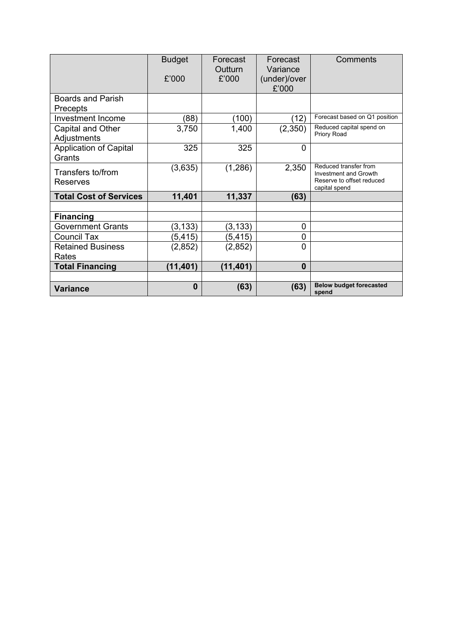|                                             | <b>Budget</b><br>£'000 | Forecast<br>Outturn<br>£'000 | Forecast<br>Variance<br>(under)/over<br>£'000 | Comments                                                                                     |
|---------------------------------------------|------------------------|------------------------------|-----------------------------------------------|----------------------------------------------------------------------------------------------|
| <b>Boards and Parish</b><br><b>Precepts</b> |                        |                              |                                               |                                                                                              |
| <b>Investment Income</b>                    | (88)                   | (100)                        | (12)                                          | Forecast based on Q1 position                                                                |
| Capital and Other<br>Adjustments            | 3,750                  | 1,400                        | (2,350)                                       | Reduced capital spend on<br>Priory Road                                                      |
| <b>Application of Capital</b><br>Grants     | 325                    | 325                          | $\mathbf 0$                                   |                                                                                              |
| Transfers to/from<br>Reserves               | (3,635)                | (1,286)                      | 2,350                                         | Reduced transfer from<br>Investment and Growth<br>Reserve to offset reduced<br>capital spend |
| <b>Total Cost of Services</b>               | 11,401                 | 11,337                       | (63)                                          |                                                                                              |
|                                             |                        |                              |                                               |                                                                                              |
| <b>Financing</b>                            |                        |                              |                                               |                                                                                              |
| <b>Government Grants</b>                    | (3, 133)               | (3,133)                      | 0                                             |                                                                                              |
| <b>Council Tax</b>                          | (5, 415)               | (5,415)                      | 0                                             |                                                                                              |
| <b>Retained Business</b>                    | (2,852)                | (2,852)                      | $\mathbf 0$                                   |                                                                                              |
| Rates                                       |                        |                              |                                               |                                                                                              |
| <b>Total Financing</b>                      | (11, 401)              | (11, 401)                    | $\bf{0}$                                      |                                                                                              |
|                                             |                        |                              |                                               |                                                                                              |
| <b>Variance</b>                             | $\bf{0}$               | (63)                         | (63)                                          | <b>Below budget forecasted</b><br>spend                                                      |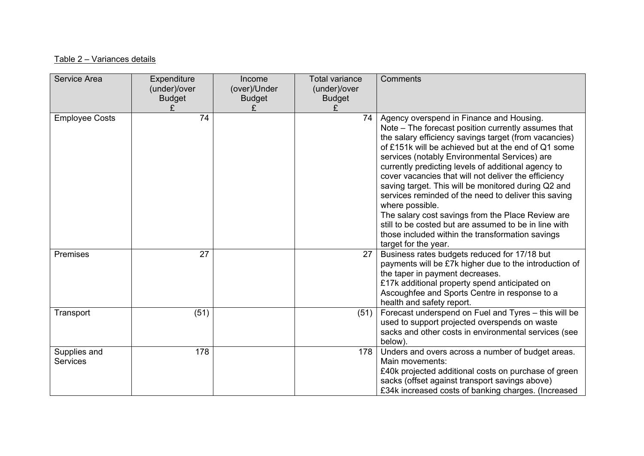### Table 2 – Variances details

| Service Area                    | Expenditure<br>(under)/over<br><b>Budget</b> | Income<br>(over)/Under<br><b>Budget</b> | <b>Total variance</b><br>(under)/over<br><b>Budget</b><br>£ | Comments                                                                                                                                                                                                                                                                                                                                                                                                                                                                                                                                                                                                                                                                                                    |
|---------------------------------|----------------------------------------------|-----------------------------------------|-------------------------------------------------------------|-------------------------------------------------------------------------------------------------------------------------------------------------------------------------------------------------------------------------------------------------------------------------------------------------------------------------------------------------------------------------------------------------------------------------------------------------------------------------------------------------------------------------------------------------------------------------------------------------------------------------------------------------------------------------------------------------------------|
| <b>Employee Costs</b>           | 74                                           |                                         | 74                                                          | Agency overspend in Finance and Housing.<br>Note - The forecast position currently assumes that<br>the salary efficiency savings target (from vacancies)<br>of £151k will be achieved but at the end of Q1 some<br>services (notably Environmental Services) are<br>currently predicting levels of additional agency to<br>cover vacancies that will not deliver the efficiency<br>saving target. This will be monitored during Q2 and<br>services reminded of the need to deliver this saving<br>where possible.<br>The salary cost savings from the Place Review are<br>still to be costed but are assumed to be in line with<br>those included within the transformation savings<br>target for the year. |
| Premises                        | 27                                           |                                         | 27                                                          | Business rates budgets reduced for 17/18 but<br>payments will be £7k higher due to the introduction of<br>the taper in payment decreases.<br>£17k additional property spend anticipated on<br>Ascoughfee and Sports Centre in response to a<br>health and safety report.                                                                                                                                                                                                                                                                                                                                                                                                                                    |
| Transport                       | (51)                                         |                                         | (51)                                                        | Forecast underspend on Fuel and Tyres - this will be<br>used to support projected overspends on waste<br>sacks and other costs in environmental services (see<br>below).                                                                                                                                                                                                                                                                                                                                                                                                                                                                                                                                    |
| Supplies and<br><b>Services</b> | 178                                          |                                         | 178                                                         | Unders and overs across a number of budget areas.<br>Main movements:<br>£40k projected additional costs on purchase of green<br>sacks (offset against transport savings above)<br>£34k increased costs of banking charges. (Increased                                                                                                                                                                                                                                                                                                                                                                                                                                                                       |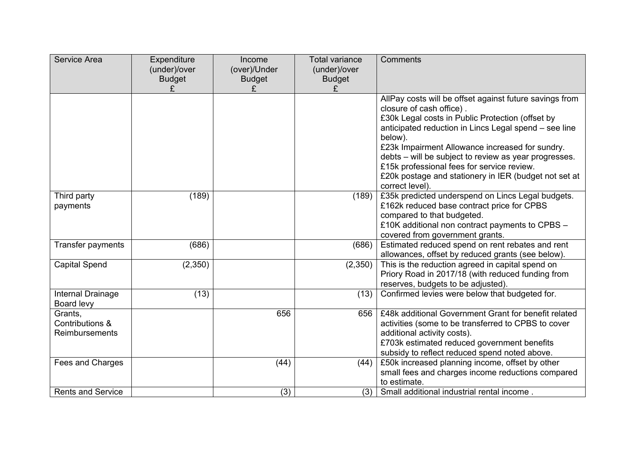| Service Area                                 | Expenditure<br>(under)/over<br><b>Budget</b> | Income<br>(over)/Under<br><b>Budget</b> | <b>Total variance</b><br>(under)/over<br><b>Budget</b> | Comments                                                                                                                                                                                                                                                                                                                                                                                                                                          |
|----------------------------------------------|----------------------------------------------|-----------------------------------------|--------------------------------------------------------|---------------------------------------------------------------------------------------------------------------------------------------------------------------------------------------------------------------------------------------------------------------------------------------------------------------------------------------------------------------------------------------------------------------------------------------------------|
|                                              |                                              | £                                       | £                                                      |                                                                                                                                                                                                                                                                                                                                                                                                                                                   |
|                                              |                                              |                                         |                                                        | AllPay costs will be offset against future savings from<br>closure of cash office).<br>£30k Legal costs in Public Protection (offset by<br>anticipated reduction in Lincs Legal spend - see line<br>below).<br>£23k Impairment Allowance increased for sundry.<br>debts – will be subject to review as year progresses.<br>£15k professional fees for service review.<br>£20k postage and stationery in IER (budget not set at<br>correct level). |
| Third party<br>payments                      | (189)                                        |                                         | (189)                                                  | £35k predicted underspend on Lincs Legal budgets.<br>£162k reduced base contract price for CPBS<br>compared to that budgeted.<br>£10K additional non contract payments to CPBS -<br>covered from government grants.                                                                                                                                                                                                                               |
| Transfer payments                            | (686)                                        |                                         | (686)                                                  | Estimated reduced spend on rent rebates and rent<br>allowances, offset by reduced grants (see below).                                                                                                                                                                                                                                                                                                                                             |
| <b>Capital Spend</b>                         | (2,350)                                      |                                         | (2,350)                                                | This is the reduction agreed in capital spend on<br>Priory Road in 2017/18 (with reduced funding from<br>reserves, budgets to be adjusted).                                                                                                                                                                                                                                                                                                       |
| Internal Drainage<br>Board levy              | (13)                                         |                                         | (13)                                                   | Confirmed levies were below that budgeted for.                                                                                                                                                                                                                                                                                                                                                                                                    |
| Grants,<br>Contributions &<br>Reimbursements |                                              | 656                                     | 656                                                    | £48k additional Government Grant for benefit related<br>activities (some to be transferred to CPBS to cover<br>additional activity costs).<br>£703k estimated reduced government benefits<br>subsidy to reflect reduced spend noted above.                                                                                                                                                                                                        |
| Fees and Charges                             |                                              | (44)                                    | (44)                                                   | £50k increased planning income, offset by other<br>small fees and charges income reductions compared<br>to estimate.                                                                                                                                                                                                                                                                                                                              |
| <b>Rents and Service</b>                     |                                              | (3)                                     | (3)                                                    | Small additional industrial rental income.                                                                                                                                                                                                                                                                                                                                                                                                        |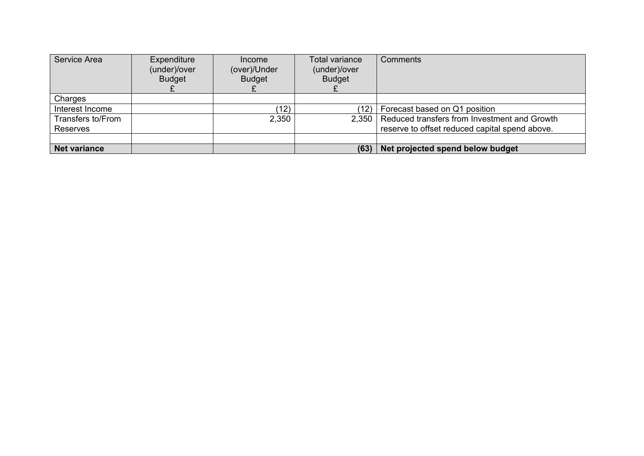| Service Area        | Expenditure<br>(under)/over<br><b>Budget</b> | Income<br>(over)/Under<br><b>Budget</b> | Total variance<br>(under)/over<br><b>Budget</b> | Comments                                       |
|---------------------|----------------------------------------------|-----------------------------------------|-------------------------------------------------|------------------------------------------------|
| Charges             |                                              |                                         |                                                 |                                                |
| Interest Income     |                                              | (12)                                    | (12)                                            | Forecast based on Q1 position                  |
| Transfers to/From   |                                              | 2,350                                   | 2,350                                           | Reduced transfers from Investment and Growth   |
| <b>Reserves</b>     |                                              |                                         |                                                 | reserve to offset reduced capital spend above. |
|                     |                                              |                                         |                                                 |                                                |
| <b>Net variance</b> |                                              |                                         | (63)                                            | Net projected spend below budget               |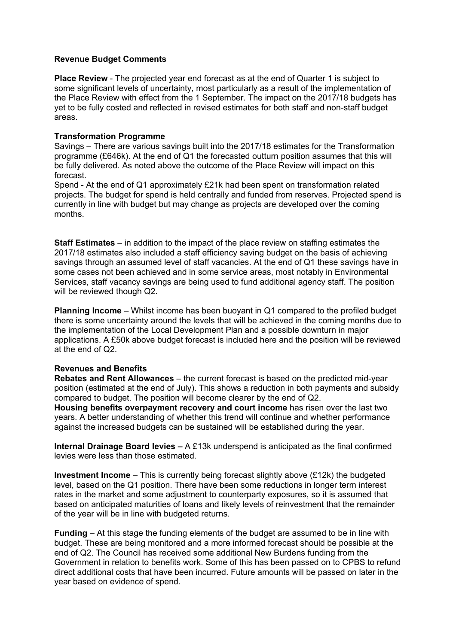#### **Revenue Budget Comments**

**Place Review** - The projected year end forecast as at the end of Quarter 1 is subject to some significant levels of uncertainty, most particularly as a result of the implementation of the Place Review with effect from the 1 September. The impact on the 2017/18 budgets has yet to be fully costed and reflected in revised estimates for both staff and non-staff budget areas.

#### **Transformation Programme**

Savings – There are various savings built into the 2017/18 estimates for the Transformation programme (£646k). At the end of Q1 the forecasted outturn position assumes that this will be fully delivered. As noted above the outcome of the Place Review will impact on this forecast.

Spend - At the end of Q1 approximately £21k had been spent on transformation related projects. The budget for spend is held centrally and funded from reserves. Projected spend is currently in line with budget but may change as projects are developed over the coming months.

**Staff Estimates** – in addition to the impact of the place review on staffing estimates the 2017/18 estimates also included a staff efficiency saving budget on the basis of achieving savings through an assumed level of staff vacancies. At the end of Q1 these savings have in some cases not been achieved and in some service areas, most notably in Environmental Services, staff vacancy savings are being used to fund additional agency staff. The position will be reviewed though Q2.

**Planning Income** – Whilst income has been buoyant in Q1 compared to the profiled budget there is some uncertainty around the levels that will be achieved in the coming months due to the implementation of the Local Development Plan and a possible downturn in major applications. A £50k above budget forecast is included here and the position will be reviewed at the end of Q2.

#### **Revenues and Benefits**

**Rebates and Rent Allowances** – the current forecast is based on the predicted mid-year position (estimated at the end of July). This shows a reduction in both payments and subsidy compared to budget. The position will become clearer by the end of Q2.

**Housing benefits overpayment recovery and court income** has risen over the last two years. A better understanding of whether this trend will continue and whether performance against the increased budgets can be sustained will be established during the year.

**Internal Drainage Board levies –** A £13k underspend is anticipated as the final confirmed levies were less than those estimated.

**Investment Income** – This is currently being forecast slightly above (£12k) the budgeted level, based on the Q1 position. There have been some reductions in longer term interest rates in the market and some adjustment to counterparty exposures, so it is assumed that based on anticipated maturities of loans and likely levels of reinvestment that the remainder of the year will be in line with budgeted returns.

**Funding** – At this stage the funding elements of the budget are assumed to be in line with budget. These are being monitored and a more informed forecast should be possible at the end of Q2. The Council has received some additional New Burdens funding from the Government in relation to benefits work. Some of this has been passed on to CPBS to refund direct additional costs that have been incurred. Future amounts will be passed on later in the year based on evidence of spend.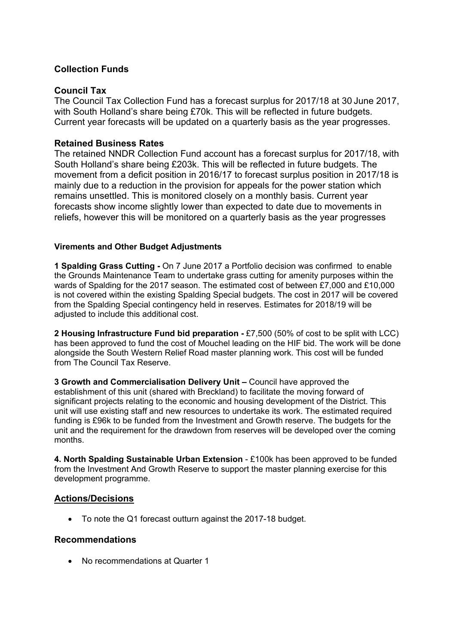### **Collection Funds**

### **Council Tax**

The Council Tax Collection Fund has a forecast surplus for 2017/18 at 30 June 2017, with South Holland's share being £70k. This will be reflected in future budgets. Current year forecasts will be updated on a quarterly basis as the year progresses.

### **Retained Business Rates**

The retained NNDR Collection Fund account has a forecast surplus for 2017/18, with South Holland's share being £203k. This will be reflected in future budgets. The movement from a deficit position in 2016/17 to forecast surplus position in 2017/18 is mainly due to a reduction in the provision for appeals for the power station which remains unsettled. This is monitored closely on a monthly basis. Current year forecasts show income slightly lower than expected to date due to movements in reliefs, however this will be monitored on a quarterly basis as the year progresses

#### **Virements and Other Budget Adjustments**

**1 Spalding Grass Cutting -** On 7 June 2017 a Portfolio decision was confirmed to enable the Grounds Maintenance Team to undertake grass cutting for amenity purposes within the wards of Spalding for the 2017 season. The estimated cost of between £7,000 and £10,000 is not covered within the existing Spalding Special budgets. The cost in 2017 will be covered from the Spalding Special contingency held in reserves. Estimates for 2018/19 will be adjusted to include this additional cost.

**2 Housing Infrastructure Fund bid preparation -** £7,500 (50% of cost to be split with LCC) has been approved to fund the cost of Mouchel leading on the HIF bid. The work will be done alongside the South Western Relief Road master planning work. This cost will be funded from The Council Tax Reserve.

**3 Growth and Commercialisation Delivery Unit –** Council have approved the establishment of this unit (shared with Breckland) to facilitate the moving forward of significant projects relating to the economic and housing development of the District. This unit will use existing staff and new resources to undertake its work. The estimated required funding is £96k to be funded from the Investment and Growth reserve. The budgets for the unit and the requirement for the drawdown from reserves will be developed over the coming months.

**4. North Spalding Sustainable Urban Extension** - £100k has been approved to be funded from the Investment And Growth Reserve to support the master planning exercise for this development programme.

### **Actions/Decisions**

To note the Q1 forecast outturn against the 2017-18 budget.

### **Recommendations**

• No recommendations at Quarter 1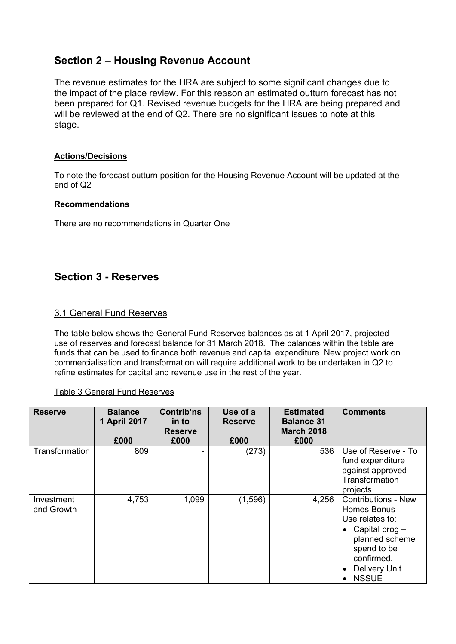## **Section 2 – Housing Revenue Account**

The revenue estimates for the HRA are subject to some significant changes due to the impact of the place review. For this reason an estimated outturn forecast has not been prepared for Q1. Revised revenue budgets for the HRA are being prepared and will be reviewed at the end of Q2. There are no significant issues to note at this stage.

#### **Actions/Decisions**

To note the forecast outturn position for the Housing Revenue Account will be updated at the end of Q2

#### **Recommendations**

There are no recommendations in Quarter One

## **Section 3 - Reserves**

### 3.1 General Fund Reserves

The table below shows the General Fund Reserves balances as at 1 April 2017, projected use of reserves and forecast balance for 31 March 2018. The balances within the table are funds that can be used to finance both revenue and capital expenditure. New project work on commercialisation and transformation will require additional work to be undertaken in Q2 to refine estimates for capital and revenue use in the rest of the year.

#### Table 3 General Fund Reserves

| <b>Reserve</b>           | <b>Balance</b><br>1 April 2017 | <b>Contrib'ns</b><br>in to<br><b>Reserve</b> | Use of a<br><b>Reserve</b> | <b>Estimated</b><br><b>Balance 31</b><br><b>March 2018</b> | <b>Comments</b>                                                                                                                                                    |
|--------------------------|--------------------------------|----------------------------------------------|----------------------------|------------------------------------------------------------|--------------------------------------------------------------------------------------------------------------------------------------------------------------------|
|                          | £000                           | £000                                         | £000                       | £000                                                       |                                                                                                                                                                    |
| Transformation           | 809                            |                                              | (273)                      | 536                                                        | Use of Reserve - To<br>fund expenditure<br>against approved<br>Transformation<br>projects.                                                                         |
| Investment<br>and Growth | 4,753                          | 1,099                                        | (1,596)                    | 4,256                                                      | <b>Contributions - New</b><br>Homes Bonus<br>Use relates to:<br>• Capital prog $-$<br>planned scheme<br>spend to be<br>confirmed.<br>Delivery Unit<br><b>NSSUE</b> |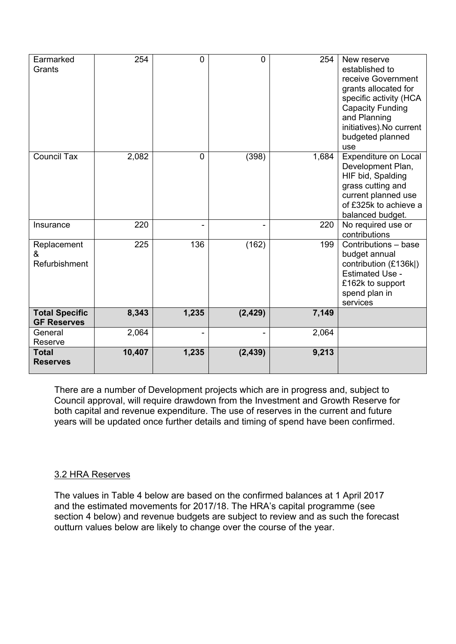| Earmarked<br>Grants                         | 254    | $\overline{0}$ | 0        | 254   | New reserve<br>established to<br>receive Government<br>grants allocated for<br>specific activity (HCA<br><b>Capacity Funding</b><br>and Planning<br>initiatives). No current<br>budgeted planned<br>use |
|---------------------------------------------|--------|----------------|----------|-------|---------------------------------------------------------------------------------------------------------------------------------------------------------------------------------------------------------|
| <b>Council Tax</b>                          | 2,082  | 0              | (398)    | 1,684 | Expenditure on Local<br>Development Plan,<br>HIF bid, Spalding<br>grass cutting and<br>current planned use<br>of £325k to achieve a<br>balanced budget.                                                 |
| Insurance                                   | 220    | ٠              | -        | 220   | No required use or<br>contributions                                                                                                                                                                     |
| Replacement<br>&<br>Refurbishment           | 225    | 136            | (162)    | 199   | Contributions - base<br>budget annual<br>contribution (£136k)<br><b>Estimated Use -</b><br>£162k to support<br>spend plan in<br>services                                                                |
| <b>Total Specific</b><br><b>GF Reserves</b> | 8,343  | 1,235          | (2, 429) | 7,149 |                                                                                                                                                                                                         |
| General<br>Reserve                          | 2,064  |                |          | 2,064 |                                                                                                                                                                                                         |
| <b>Total</b><br><b>Reserves</b>             | 10,407 | 1,235          | (2, 439) | 9,213 |                                                                                                                                                                                                         |

There are a number of Development projects which are in progress and, subject to Council approval, will require drawdown from the Investment and Growth Reserve for both capital and revenue expenditure. The use of reserves in the current and future years will be updated once further details and timing of spend have been confirmed.

## 3.2 HRA Reserves

The values in Table 4 below are based on the confirmed balances at 1 April 2017 and the estimated movements for 2017/18. The HRA's capital programme (see section 4 below) and revenue budgets are subject to review and as such the forecast outturn values below are likely to change over the course of the year.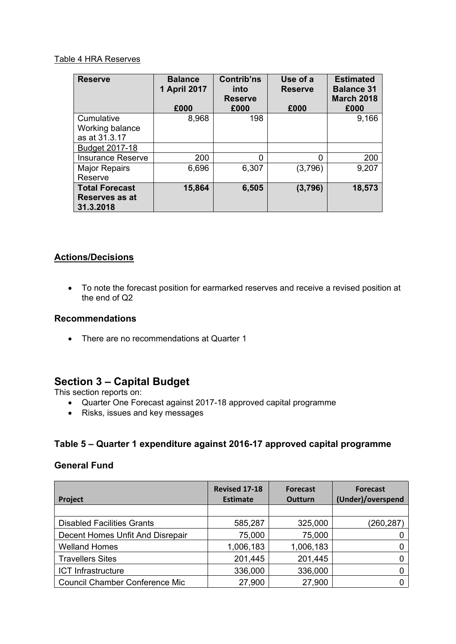#### Table 4 HRA Reserves

| <b>Reserve</b>              | <b>Balance</b><br>1 April 2017<br>£000 | <b>Contrib'ns</b><br>into<br><b>Reserve</b><br>£000 | Use of a<br><b>Reserve</b><br>£000 | <b>Estimated</b><br><b>Balance 31</b><br><b>March 2018</b><br>£000 |
|-----------------------------|----------------------------------------|-----------------------------------------------------|------------------------------------|--------------------------------------------------------------------|
| Cumulative                  | 8,968                                  | 198                                                 |                                    | 9,166                                                              |
| Working balance             |                                        |                                                     |                                    |                                                                    |
| as at 31.3.17               |                                        |                                                     |                                    |                                                                    |
| Budget 2017-18              |                                        |                                                     |                                    |                                                                    |
| <b>Insurance Reserve</b>    | 200                                    | ი                                                   | 0                                  | 200                                                                |
| <b>Major Repairs</b>        | 6,696                                  | 6,307                                               | (3,796)                            | 9,207                                                              |
| Reserve                     |                                        |                                                     |                                    |                                                                    |
| <b>Total Forecast</b>       | 15,864                                 | 6,505                                               | (3,796)                            | 18,573                                                             |
| Reserves as at<br>31.3.2018 |                                        |                                                     |                                    |                                                                    |

## **Actions/Decisions**

 To note the forecast position for earmarked reserves and receive a revised position at the end of Q2

### **Recommendations**

• There are no recommendations at Quarter 1

## **Section 3 – Capital Budget**

This section reports on:

- Quarter One Forecast against 2017-18 approved capital programme
- Risks, issues and key messages

### **Table 5 – Quarter 1 expenditure against 2016-17 approved capital programme**

### **General Fund**

| Project                               | <b>Revised 17-18</b><br><b>Estimate</b> | <b>Forecast</b><br><b>Outturn</b> | <b>Forecast</b><br>(Under)/overspend |
|---------------------------------------|-----------------------------------------|-----------------------------------|--------------------------------------|
|                                       |                                         |                                   |                                      |
| <b>Disabled Facilities Grants</b>     | 585,287                                 | 325,000                           | (260, 287)                           |
| Decent Homes Unfit And Disrepair      | 75,000                                  | 75,000                            |                                      |
| <b>Welland Homes</b>                  | 1,006,183                               | 1,006,183                         |                                      |
| <b>Travellers Sites</b>               | 201,445                                 | 201,445                           |                                      |
| <b>ICT Infrastructure</b>             | 336,000                                 | 336,000                           |                                      |
| <b>Council Chamber Conference Mic</b> | 27,900                                  | 27,900                            |                                      |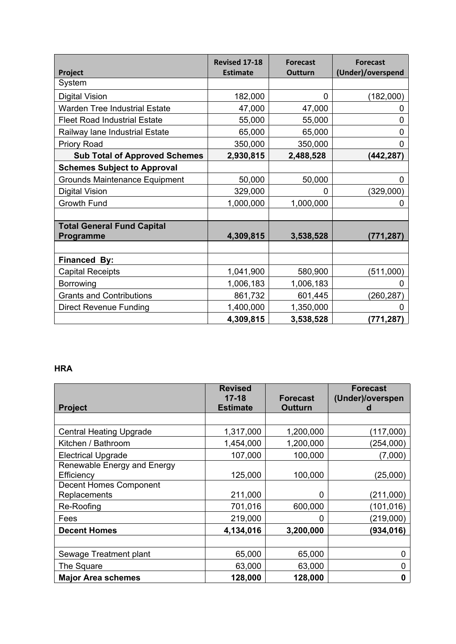| Project                              | <b>Revised 17-18</b><br><b>Estimate</b> | <b>Forecast</b><br><b>Outturn</b> | <b>Forecast</b><br>(Under)/overspend |
|--------------------------------------|-----------------------------------------|-----------------------------------|--------------------------------------|
| System                               |                                         |                                   |                                      |
| <b>Digital Vision</b>                | 182,000                                 | 0                                 | (182,000)                            |
| <b>Warden Tree Industrial Estate</b> | 47,000                                  | 47,000                            | 0                                    |
| <b>Fleet Road Industrial Estate</b>  | 55,000                                  | 55,000                            | 0                                    |
| Railway lane Industrial Estate       | 65,000                                  | 65,000                            | 0                                    |
| <b>Priory Road</b>                   | 350,000                                 | 350,000                           | 0                                    |
| <b>Sub Total of Approved Schemes</b> | 2,930,815                               | 2,488,528                         | (442,287)                            |
| <b>Schemes Subject to Approval</b>   |                                         |                                   |                                      |
| <b>Grounds Maintenance Equipment</b> | 50,000                                  | 50,000                            | 0                                    |
| <b>Digital Vision</b>                | 329,000                                 | 0                                 | (329,000)                            |
| Growth Fund                          | 1,000,000                               | 1,000,000                         | 0                                    |
|                                      |                                         |                                   |                                      |
| <b>Total General Fund Capital</b>    |                                         |                                   |                                      |
| <b>Programme</b>                     | 4,309,815                               | 3,538,528                         | (771,287)                            |
|                                      |                                         |                                   |                                      |
| <b>Financed By:</b>                  |                                         |                                   |                                      |
| <b>Capital Receipts</b>              | 1,041,900                               | 580,900                           | (511,000)                            |
| Borrowing                            | 1,006,183                               | 1,006,183                         |                                      |
| <b>Grants and Contributions</b>      | 861,732                                 | 601,445                           | (260, 287)                           |
| <b>Direct Revenue Funding</b>        | 1,400,000                               | 1,350,000                         | 0                                    |
|                                      | 4,309,815                               | 3,538,528                         | (771, 287)                           |

## **HRA**

| <b>Project</b>                                                             | <b>Revised</b><br>$17 - 18$<br><b>Estimate</b> | <b>Forecast</b><br><b>Outturn</b> | <b>Forecast</b><br>(Under)/overspen |
|----------------------------------------------------------------------------|------------------------------------------------|-----------------------------------|-------------------------------------|
|                                                                            |                                                |                                   |                                     |
| <b>Central Heating Upgrade</b>                                             | 1,317,000                                      | 1,200,000                         | (117,000)                           |
| Kitchen / Bathroom                                                         | 1,454,000                                      | 1,200,000                         | (254,000)                           |
| <b>Electrical Upgrade</b>                                                  | 107,000                                        | 100,000                           | (7,000)                             |
| Renewable Energy and Energy<br>Efficiency<br><b>Decent Homes Component</b> | 125,000                                        | 100,000                           | (25,000)                            |
| Replacements                                                               | 211,000                                        | 0                                 | (211,000)                           |
| Re-Roofing                                                                 | 701,016                                        | 600,000                           | (101,016)                           |
| Fees                                                                       | 219,000                                        | 0                                 | (219,000)                           |
| <b>Decent Homes</b>                                                        | 4,134,016                                      | 3,200,000                         | (934, 016)                          |
|                                                                            |                                                |                                   |                                     |
| Sewage Treatment plant                                                     | 65,000                                         | 65,000                            | O                                   |
| The Square                                                                 | 63,000                                         | 63,000                            | 0                                   |
| <b>Major Area schemes</b>                                                  | 128,000                                        | 128,000                           | 0                                   |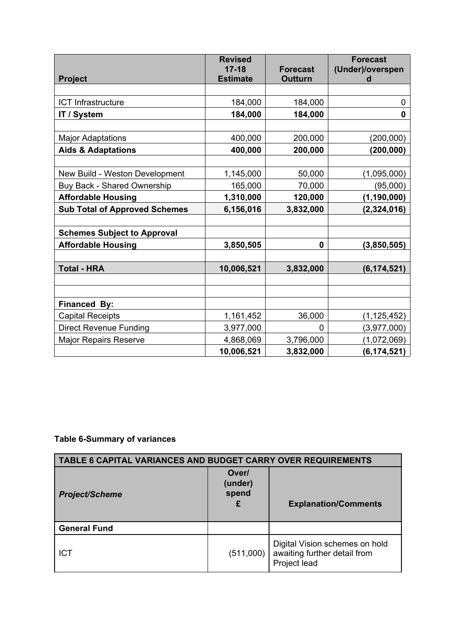|                                      | <b>Revised</b><br>$17 - 18$ | <b>Forecast</b> | <b>Forecast</b><br>(Under)/overspen |
|--------------------------------------|-----------------------------|-----------------|-------------------------------------|
| <b>Project</b>                       | <b>Estimate</b>             | <b>Outturn</b>  | d                                   |
|                                      |                             |                 |                                     |
| <b>ICT Infrastructure</b>            | 184,000                     | 184,000         | 0                                   |
| <b>IT / System</b>                   | 184,000                     | 184,000         | 0                                   |
|                                      |                             |                 |                                     |
| <b>Major Adaptations</b>             | 400,000                     | 200,000         | (200, 000)                          |
| <b>Aids &amp; Adaptations</b>        | 400,000                     | 200,000         | (200, 000)                          |
|                                      |                             |                 |                                     |
| New Build - Weston Development       | 1,145,000                   | 50,000          | (1,095,000)                         |
| Buy Back - Shared Ownership          | 165,000                     | 70,000          | (95,000)                            |
| <b>Affordable Housing</b>            | 1,310,000                   | 120,000         | (1, 190, 000)                       |
| <b>Sub Total of Approved Schemes</b> | 6,156,016                   | 3,832,000       | (2,324,016)                         |
|                                      |                             |                 |                                     |
| <b>Schemes Subject to Approval</b>   |                             |                 |                                     |
| <b>Affordable Housing</b>            | 3,850,505                   | 0               | (3,850,505)                         |
|                                      |                             |                 |                                     |
| <b>Total - HRA</b>                   | 10,006,521                  | 3,832,000       | (6, 174, 521)                       |
|                                      |                             |                 |                                     |
|                                      |                             |                 |                                     |
| <b>Financed By:</b>                  |                             |                 |                                     |
| <b>Capital Receipts</b>              | 1,161,452                   | 36,000          | (1, 125, 452)                       |
| <b>Direct Revenue Funding</b>        | 3,977,000                   | 0               | (3,977,000)                         |
| <b>Major Repairs Reserve</b>         | 4,868,069                   | 3,796,000       | (1,072,069)                         |
|                                      | 10,006,521                  | 3,832,000       | (6, 174, 521)                       |

## **Table 6-Summary of variances**

| <b>TABLE 6 CAPITAL VARIANCES AND BUDGET CARRY OVER REQUIREMENTS</b> |                                |                                                                                |  |  |
|---------------------------------------------------------------------|--------------------------------|--------------------------------------------------------------------------------|--|--|
| <b>Project/Scheme</b>                                               | Over/<br>(under)<br>spend<br>£ | <b>Explanation/Comments</b>                                                    |  |  |
| <b>General Fund</b>                                                 |                                |                                                                                |  |  |
| <b>ICT</b>                                                          | (511,000)                      | Digital Vision schemes on hold<br>awaiting further detail from<br>Project lead |  |  |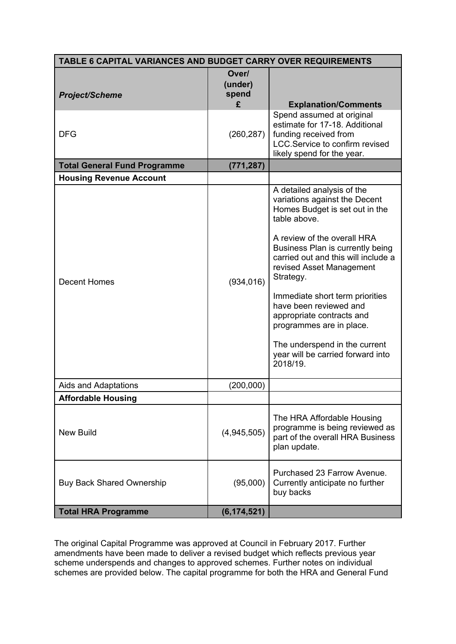| TABLE 6 CAPITAL VARIANCES AND BUDGET CARRY OVER REQUIREMENTS |                                |                                                                                                                                                                                                                                                                                                                                                                                                                                                                          |  |  |
|--------------------------------------------------------------|--------------------------------|--------------------------------------------------------------------------------------------------------------------------------------------------------------------------------------------------------------------------------------------------------------------------------------------------------------------------------------------------------------------------------------------------------------------------------------------------------------------------|--|--|
| <b>Project/Scheme</b>                                        | Over/<br>(under)<br>spend<br>£ | <b>Explanation/Comments</b>                                                                                                                                                                                                                                                                                                                                                                                                                                              |  |  |
| <b>DFG</b>                                                   | (260, 287)                     | Spend assumed at original<br>estimate for 17-18. Additional<br>funding received from<br>LCC.Service to confirm revised<br>likely spend for the year.                                                                                                                                                                                                                                                                                                                     |  |  |
| <b>Total General Fund Programme</b>                          | (771, 287)                     |                                                                                                                                                                                                                                                                                                                                                                                                                                                                          |  |  |
| <b>Housing Revenue Account</b>                               |                                |                                                                                                                                                                                                                                                                                                                                                                                                                                                                          |  |  |
| <b>Decent Homes</b>                                          | (934, 016)                     | A detailed analysis of the<br>variations against the Decent<br>Homes Budget is set out in the<br>table above.<br>A review of the overall HRA<br>Business Plan is currently being<br>carried out and this will include a<br>revised Asset Management<br>Strategy.<br>Immediate short term priorities<br>have been reviewed and<br>appropriate contracts and<br>programmes are in place.<br>The underspend in the current<br>year will be carried forward into<br>2018/19. |  |  |
| Aids and Adaptations                                         | (200,000)                      |                                                                                                                                                                                                                                                                                                                                                                                                                                                                          |  |  |
| <b>Affordable Housing</b>                                    |                                |                                                                                                                                                                                                                                                                                                                                                                                                                                                                          |  |  |
| <b>New Build</b>                                             | (4,945,505)                    | The HRA Affordable Housing<br>programme is being reviewed as<br>part of the overall HRA Business<br>plan update.                                                                                                                                                                                                                                                                                                                                                         |  |  |
| <b>Buy Back Shared Ownership</b>                             | (95,000)                       | Purchased 23 Farrow Avenue.<br>Currently anticipate no further<br>buy backs                                                                                                                                                                                                                                                                                                                                                                                              |  |  |
| <b>Total HRA Programme</b>                                   | (6, 174, 521)                  |                                                                                                                                                                                                                                                                                                                                                                                                                                                                          |  |  |

The original Capital Programme was approved at Council in February 2017. Further amendments have been made to deliver a revised budget which reflects previous year scheme underspends and changes to approved schemes. Further notes on individual schemes are provided below. The capital programme for both the HRA and General Fund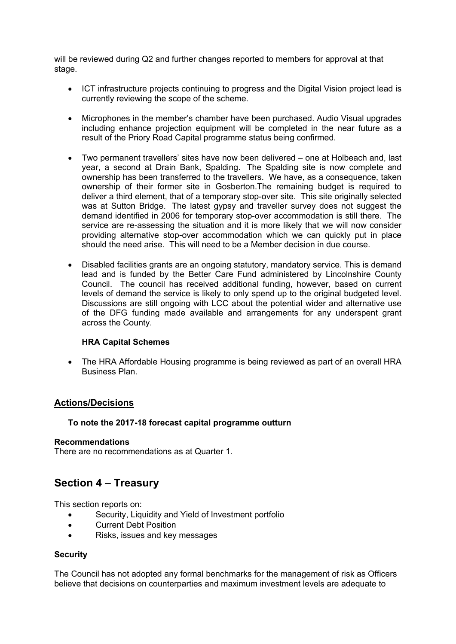will be reviewed during Q2 and further changes reported to members for approval at that stage.

- ICT infrastructure projects continuing to progress and the Digital Vision project lead is currently reviewing the scope of the scheme.
- Microphones in the member's chamber have been purchased. Audio Visual upgrades including enhance projection equipment will be completed in the near future as a result of the Priory Road Capital programme status being confirmed.
- Two permanent travellers' sites have now been delivered one at Holbeach and, last year, a second at Drain Bank, Spalding. The Spalding site is now complete and ownership has been transferred to the travellers. We have, as a consequence, taken ownership of their former site in Gosberton.The remaining budget is required to deliver a third element, that of a temporary stop-over site. This site originally selected was at Sutton Bridge. The latest gypsy and traveller survey does not suggest the demand identified in 2006 for temporary stop-over accommodation is still there. The service are re-assessing the situation and it is more likely that we will now consider providing alternative stop-over accommodation which we can quickly put in place should the need arise. This will need to be a Member decision in due course.
- Disabled facilities grants are an ongoing statutory, mandatory service. This is demand lead and is funded by the Better Care Fund administered by Lincolnshire County Council. The council has received additional funding, however, based on current levels of demand the service is likely to only spend up to the original budgeted level. Discussions are still ongoing with LCC about the potential wider and alternative use of the DFG funding made available and arrangements for any underspent grant across the County.

#### **HRA Capital Schemes**

• The HRA Affordable Housing programme is being reviewed as part of an overall HRA Business Plan.

#### **Actions/Decisions**

#### **To note the 2017-18 forecast capital programme outturn**

#### **Recommendations**

There are no recommendations as at Quarter 1.

## **Section 4 – Treasury**

This section reports on:

- Security, Liquidity and Yield of Investment portfolio
- Current Debt Position
- Risks, issues and key messages

#### **Security**

The Council has not adopted any formal benchmarks for the management of risk as Officers believe that decisions on counterparties and maximum investment levels are adequate to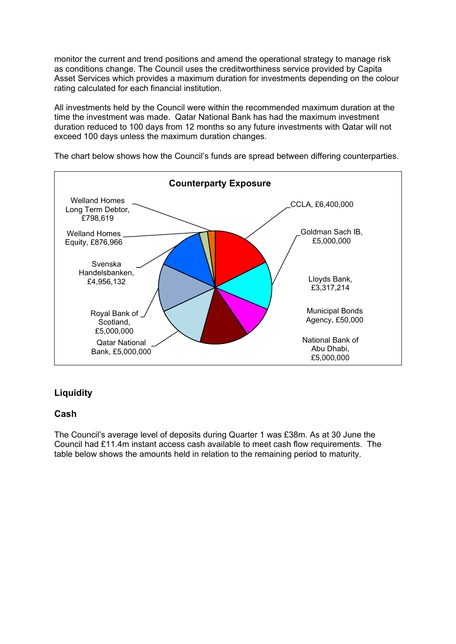monitor the current and trend positions and amend the operational strategy to manage risk as conditions change. The Council uses the creditworthiness service provided by Capita Asset Services which provides a maximum duration for investments depending on the colour rating calculated for each financial institution.

All investments held by the Council were within the recommended maximum duration at the time the investment was made. Qatar National Bank has had the maximum investment duration reduced to 100 days from 12 months so any future investments with Qatar will not exceed 100 days unless the maximum duration changes.



The chart below shows how the Council's funds are spread between differing counterparties.

## **Liquidity**

### **Cash**

The Council's average level of deposits during Quarter 1 was £38m. As at 30 June the Council had £11.4m instant access cash available to meet cash flow requirements. The table below shows the amounts held in relation to the remaining period to maturity.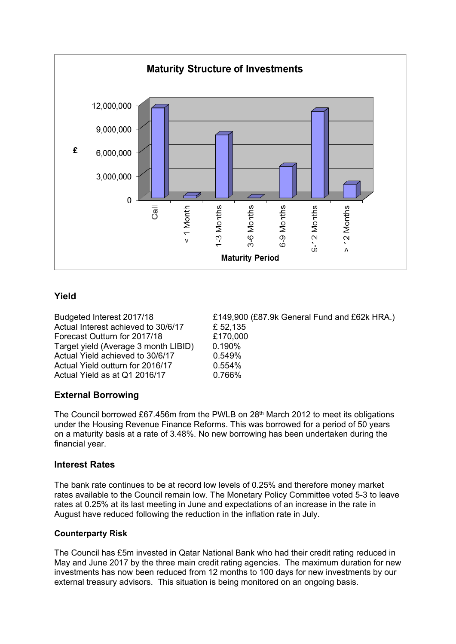

### **Yield**

Actual Interest achieved to 30/6/17 £ 52,135 Forecast Outturn for 2017/18 £170,000 Target yield (Average 3 month LIBID) 0.190% Actual Yield achieved to 30/6/17 0.549% Actual Yield outturn for 2016/17 0.554% Actual Yield as at Q1 2016/17 0.766%

Budgeted Interest 2017/18 £149,900 (£87.9k General Fund and £62k HRA.)

## **External Borrowing**

The Council borrowed £67.456m from the PWLB on 28th March 2012 to meet its obligations under the Housing Revenue Finance Reforms. This was borrowed for a period of 50 years on a maturity basis at a rate of 3.48%. No new borrowing has been undertaken during the financial year.

### **Interest Rates**

The bank rate continues to be at record low levels of 0.25% and therefore money market rates available to the Council remain low. The Monetary Policy Committee voted 5-3 to leave rates at 0.25% at its last meeting in June and expectations of an increase in the rate in August have reduced following the reduction in the inflation rate in July.

### **Counterparty Risk**

The Council has £5m invested in Qatar National Bank who had their credit rating reduced in May and June 2017 by the three main credit rating agencies. The maximum duration for new investments has now been reduced from 12 months to 100 days for new investments by our external treasury advisors. This situation is being monitored on an ongoing basis.